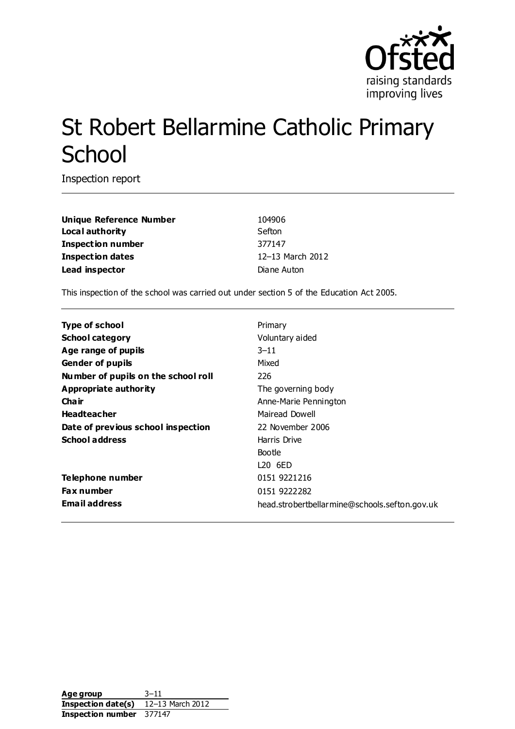

# St Robert Bellarmine Catholic Primary **School**

Inspection report

**Unique Reference Number** 104906 **Local authority** Sefton **Inspection number** 377147 **Inspection dates** 12–13 March 2012 **Lead inspector** Diane Auton

This inspection of the school was carried out under section 5 of the Education Act 2005.

| <b>Type of school</b>               | Primary                                       |  |
|-------------------------------------|-----------------------------------------------|--|
| <b>School category</b>              | Voluntary aided                               |  |
| Age range of pupils                 | $3 - 11$                                      |  |
| <b>Gender of pupils</b>             | Mixed                                         |  |
| Number of pupils on the school roll | 226                                           |  |
| Appropriate authority               | The governing body                            |  |
| Cha ir                              | Anne-Marie Pennington                         |  |
| <b>Headteacher</b>                  | Mairead Dowell                                |  |
| Date of previous school inspection  | 22 November 2006                              |  |
| <b>School address</b>               | Harris Drive                                  |  |
|                                     | Bootle                                        |  |
|                                     | L20 6ED                                       |  |
| Telephone number                    | 0151 9221216                                  |  |
| <b>Fax number</b>                   | 0151 9222282                                  |  |
| <b>Email address</b>                | head.strobertbellarmine@schools.sefton.gov.uk |  |

**Age group** 3–11 **Inspection date(s)** 12–13 March 2012 **Inspection number** 377147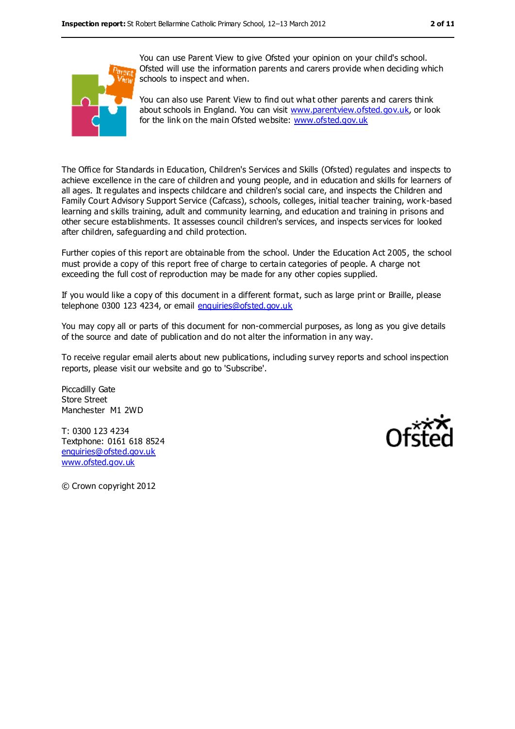

You can use Parent View to give Ofsted your opinion on your child's school. Ofsted will use the information parents and carers provide when deciding which schools to inspect and when.

You can also use Parent View to find out what other parents and carers think about schools in England. You can visit [www.parentview.ofsted.gov.uk,](../../../AppData/Local/Microsoft/Windows/Temporary%20Internet%20Files/AppData/AppData/Local/Microsoft/Windows/Temporary%20Internet%20Files/Low/Content.IE5/EMWAXGIF/www.parentview.ofsted.gov.uk) or look for the link on the main Ofsted website: [www.ofsted.gov.uk](../../../AppData/Local/Microsoft/Windows/Temporary%20Internet%20Files/AppData/AppData/Local/Microsoft/Windows/Temporary%20Internet%20Files/Low/Content.IE5/EMWAXGIF/www.ofsted.gov.uk)

The Office for Standards in Education, Children's Services and Skills (Ofsted) regulates and inspects to achieve excellence in the care of children and young people, and in education and skills for learners of all ages. It regulates and inspects childcare and children's social care, and inspects the Children and Family Court Advisory Support Service (Cafcass), schools, colleges, initial teacher training, work-based learning and skills training, adult and community learning, and education and training in prisons and other secure establishments. It assesses council children's services, and inspects services for looked after children, safeguarding and child protection.

Further copies of this report are obtainable from the school. Under the Education Act 2005, the school must provide a copy of this report free of charge to certain categories of people. A charge not exceeding the full cost of reproduction may be made for any other copies supplied.

If you would like a copy of this document in a different format, such as large print or Braille, please telephone 0300 123 4234, or email [enquiries@ofsted.gov.uk](mailto:enquiries@ofsted.gov.uk)

You may copy all or parts of this document for non-commercial purposes, as long as you give details of the source and date of publication and do not alter the information in any way.

To receive regular email alerts about new publications, including survey reports and school inspection reports, please visit our website and go to 'Subscribe'.

Piccadilly Gate Store Street Manchester M1 2WD

T: 0300 123 4234 Textphone: 0161 618 8524 [enquiries@ofsted.gov.uk](mailto:enquiries@ofsted.gov.uk) [www.ofsted.gov.uk](http://www.ofsted.gov.uk/)



© Crown copyright 2012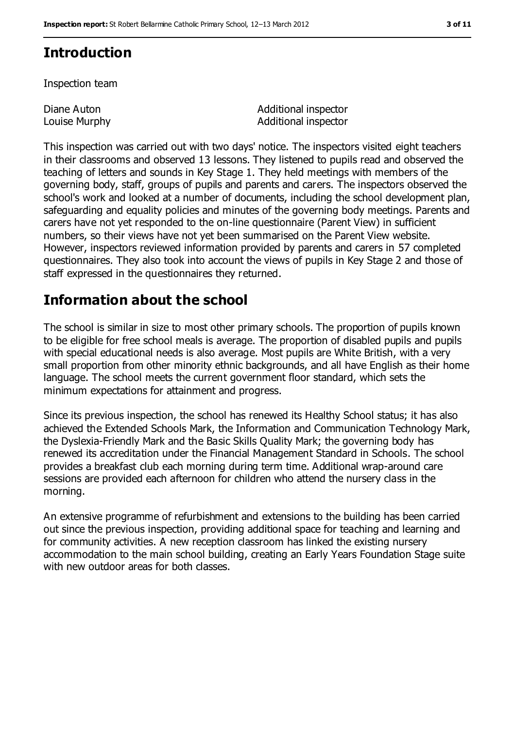# **Introduction**

Inspection team

Diane Auton Louise Murphy Additional inspector Additional inspector

This inspection was carried out with two days' notice. The inspectors visited eight teachers in their classrooms and observed 13 lessons. They listened to pupils read and observed the teaching of letters and sounds in Key Stage 1. They held meetings with members of the governing body, staff, groups of pupils and parents and carers. The inspectors observed the school's work and looked at a number of documents, including the school development plan, safeguarding and equality policies and minutes of the governing body meetings. Parents and carers have not yet responded to the on-line questionnaire (Parent View) in sufficient numbers, so their views have not yet been summarised on the Parent View website. However, inspectors reviewed information provided by parents and carers in 57 completed questionnaires. They also took into account the views of pupils in Key Stage 2 and those of staff expressed in the questionnaires they returned.

# **Information about the school**

The school is similar in size to most other primary schools. The proportion of pupils known to be eligible for free school meals is average. The proportion of disabled pupils and pupils with special educational needs is also average. Most pupils are White British, with a very small proportion from other minority ethnic backgrounds, and all have English as their home language. The school meets the current government floor standard, which sets the minimum expectations for attainment and progress.

Since its previous inspection, the school has renewed its Healthy School status; it has also achieved the Extended Schools Mark, the Information and Communication Technology Mark, the Dyslexia-Friendly Mark and the Basic Skills Quality Mark; the governing body has renewed its accreditation under the Financial Management Standard in Schools. The school provides a breakfast club each morning during term time. Additional wrap-around care sessions are provided each afternoon for children who attend the nursery class in the morning.

An extensive programme of refurbishment and extensions to the building has been carried out since the previous inspection, providing additional space for teaching and learning and for community activities. A new reception classroom has linked the existing nursery accommodation to the main school building, creating an Early Years Foundation Stage suite with new outdoor areas for both classes.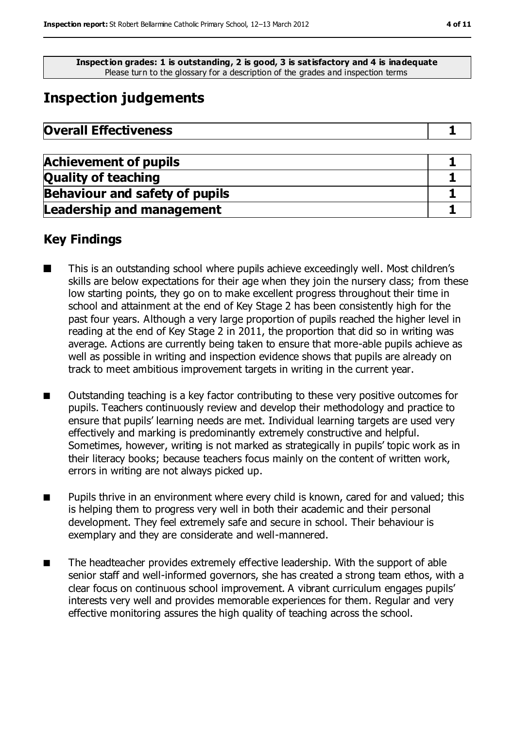**Inspection grades: 1 is outstanding, 2 is good, 3 is satisfactory and 4 is inadequate** Please turn to the glossary for a description of the grades and inspection terms

# **Inspection judgements**

| <b>Overall Effectiveness</b> |
|------------------------------|
|                              |

| <b>Achievement of pupils</b>          |  |
|---------------------------------------|--|
| <b>Quality of teaching</b>            |  |
| <b>Behaviour and safety of pupils</b> |  |
| <b>Leadership and management</b>      |  |

#### **Key Findings**

- This is an outstanding school where pupils achieve exceedingly well. Most children's skills are below expectations for their age when they join the nursery class; from these low starting points, they go on to make excellent progress throughout their time in school and attainment at the end of Key Stage 2 has been consistently high for the past four years. Although a very large proportion of pupils reached the higher level in reading at the end of Key Stage 2 in 2011, the proportion that did so in writing was average. Actions are currently being taken to ensure that more-able pupils achieve as well as possible in writing and inspection evidence shows that pupils are already on track to meet ambitious improvement targets in writing in the current year.
- Outstanding teaching is a key factor contributing to these very positive outcomes for pupils. Teachers continuously review and develop their methodology and practice to ensure that pupils' learning needs are met. Individual learning targets are used very effectively and marking is predominantly extremely constructive and helpful. Sometimes, however, writing is not marked as strategically in pupils' topic work as in their literacy books; because teachers focus mainly on the content of written work, errors in writing are not always picked up.
- Pupils thrive in an environment where every child is known, cared for and valued; this is helping them to progress very well in both their academic and their personal development. They feel extremely safe and secure in school. Their behaviour is exemplary and they are considerate and well-mannered.
- The headteacher provides extremely effective leadership. With the support of able senior staff and well-informed governors, she has created a strong team ethos, with a clear focus on continuous school improvement. A vibrant curriculum engages pupils' interests very well and provides memorable experiences for them. Regular and very effective monitoring assures the high quality of teaching across the school.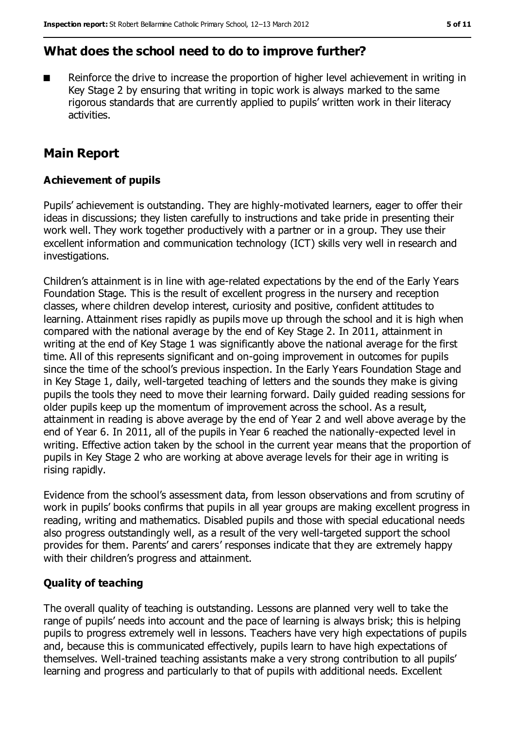# **What does the school need to do to improve further?**

Reinforce the drive to increase the proportion of higher level achievement in writing in Key Stage 2 by ensuring that writing in topic work is always marked to the same rigorous standards that are currently applied to pupils' written work in their literacy activities.

## **Main Report**

#### **Achievement of pupils**

Pupils' achievement is outstanding. They are highly-motivated learners, eager to offer their ideas in discussions; they listen carefully to instructions and take pride in presenting their work well. They work together productively with a partner or in a group. They use their excellent information and communication technology (ICT) skills very well in research and investigations.

Children's attainment is in line with age-related expectations by the end of the Early Years Foundation Stage. This is the result of excellent progress in the nursery and reception classes, where children develop interest, curiosity and positive, confident attitudes to learning. Attainment rises rapidly as pupils move up through the school and it is high when compared with the national average by the end of Key Stage 2. In 2011, attainment in writing at the end of Key Stage 1 was significantly above the national average for the first time. All of this represents significant and on-going improvement in outcomes for pupils since the time of the school's previous inspection. In the Early Years Foundation Stage and in Key Stage 1, daily, well-targeted teaching of letters and the sounds they make is giving pupils the tools they need to move their learning forward. Daily guided reading sessions for older pupils keep up the momentum of improvement across the school. As a result, attainment in reading is above average by the end of Year 2 and well above average by the end of Year 6. In 2011, all of the pupils in Year 6 reached the nationally-expected level in writing. Effective action taken by the school in the current year means that the proportion of pupils in Key Stage 2 who are working at above average levels for their age in writing is rising rapidly.

Evidence from the school's assessment data, from lesson observations and from scrutiny of work in pupils' books confirms that pupils in all year groups are making excellent progress in reading, writing and mathematics. Disabled pupils and those with special educational needs also progress outstandingly well, as a result of the very well-targeted support the school provides for them. Parents' and carers' responses indicate that they are extremely happy with their children's progress and attainment.

#### **Quality of teaching**

The overall quality of teaching is outstanding. Lessons are planned very well to take the range of pupils' needs into account and the pace of learning is always brisk; this is helping pupils to progress extremely well in lessons. Teachers have very high expectations of pupils and, because this is communicated effectively, pupils learn to have high expectations of themselves. Well-trained teaching assistants make a very strong contribution to all pupils' learning and progress and particularly to that of pupils with additional needs. Excellent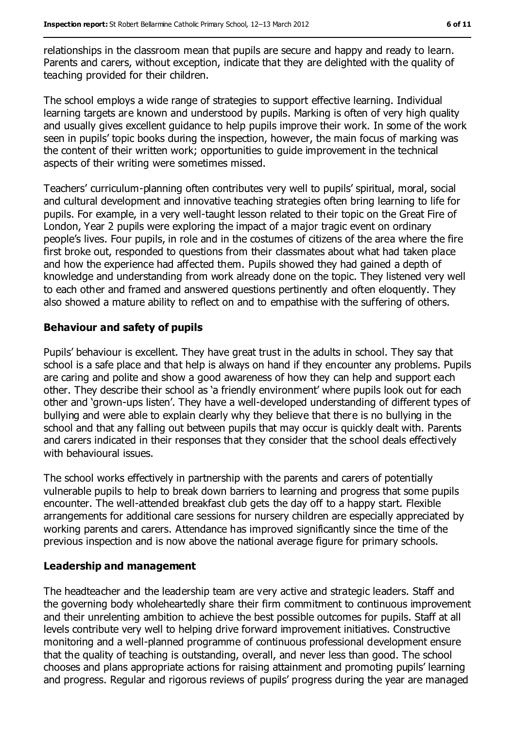relationships in the classroom mean that pupils are secure and happy and ready to learn. Parents and carers, without exception, indicate that they are delighted with the quality of teaching provided for their children.

The school employs a wide range of strategies to support effective learning. Individual learning targets are known and understood by pupils. Marking is often of very high quality and usually gives excellent guidance to help pupils improve their work. In some of the work seen in pupils' topic books during the inspection, however, the main focus of marking was the content of their written work; opportunities to guide improvement in the technical aspects of their writing were sometimes missed.

Teachers' curriculum-planning often contributes very well to pupils' spiritual, moral, social and cultural development and innovative teaching strategies often bring learning to life for pupils. For example, in a very well-taught lesson related to their topic on the Great Fire of London, Year 2 pupils were exploring the impact of a major tragic event on ordinary people's lives. Four pupils, in role and in the costumes of citizens of the area where the fire first broke out, responded to questions from their classmates about what had taken place and how the experience had affected them. Pupils showed they had gained a depth of knowledge and understanding from work already done on the topic. They listened very well to each other and framed and answered questions pertinently and often eloquently. They also showed a mature ability to reflect on and to empathise with the suffering of others.

#### **Behaviour and safety of pupils**

Pupils' behaviour is excellent. They have great trust in the adults in school. They say that school is a safe place and that help is always on hand if they encounter any problems. Pupils are caring and polite and show a good awareness of how they can help and support each other. They describe their school as 'a friendly environment' where pupils look out for each other and 'grown-ups listen'. They have a well-developed understanding of different types of bullying and were able to explain clearly why they believe that there is no bullying in the school and that any falling out between pupils that may occur is quickly dealt with. Parents and carers indicated in their responses that they consider that the school deals effectively with behavioural issues.

The school works effectively in partnership with the parents and carers of potentially vulnerable pupils to help to break down barriers to learning and progress that some pupils encounter. The well-attended breakfast club gets the day off to a happy start. Flexible arrangements for additional care sessions for nursery children are especially appreciated by working parents and carers. Attendance has improved significantly since the time of the previous inspection and is now above the national average figure for primary schools.

#### **Leadership and management**

The headteacher and the leadership team are very active and strategic leaders. Staff and the governing body wholeheartedly share their firm commitment to continuous improvement and their unrelenting ambition to achieve the best possible outcomes for pupils. Staff at all levels contribute very well to helping drive forward improvement initiatives. Constructive monitoring and a well-planned programme of continuous professional development ensure that the quality of teaching is outstanding, overall, and never less than good. The school chooses and plans appropriate actions for raising attainment and promoting pupils' learning and progress. Regular and rigorous reviews of pupils' progress during the year are managed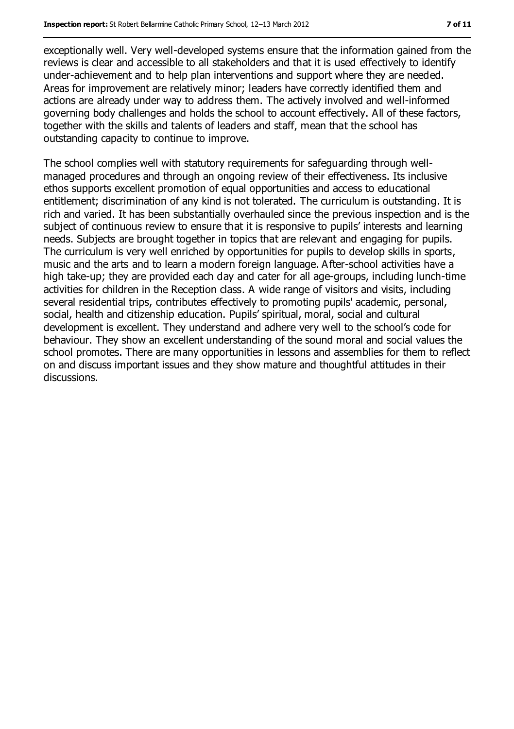exceptionally well. Very well-developed systems ensure that the information gained from the reviews is clear and accessible to all stakeholders and that it is used effectively to identify under-achievement and to help plan interventions and support where they are needed. Areas for improvement are relatively minor; leaders have correctly identified them and actions are already under way to address them. The actively involved and well-informed governing body challenges and holds the school to account effectively. All of these factors, together with the skills and talents of leaders and staff, mean that the school has outstanding capacity to continue to improve.

The school complies well with statutory requirements for safeguarding through wellmanaged procedures and through an ongoing review of their effectiveness. Its inclusive ethos supports excellent promotion of equal opportunities and access to educational entitlement; discrimination of any kind is not tolerated. The curriculum is outstanding. It is rich and varied. It has been substantially overhauled since the previous inspection and is the subject of continuous review to ensure that it is responsive to pupils' interests and learning needs. Subjects are brought together in topics that are relevant and engaging for pupils. The curriculum is very well enriched by opportunities for pupils to develop skills in sports, music and the arts and to learn a modern foreign language. After-school activities have a high take-up; they are provided each day and cater for all age-groups, including lunch-time activities for children in the Reception class. A wide range of visitors and visits, including several residential trips, contributes effectively to promoting pupils' academic, personal, social, health and citizenship education. Pupils' spiritual, moral, social and cultural development is excellent. They understand and adhere very well to the school's code for behaviour. They show an excellent understanding of the sound moral and social values the school promotes. There are many opportunities in lessons and assemblies for them to reflect on and discuss important issues and they show mature and thoughtful attitudes in their discussions.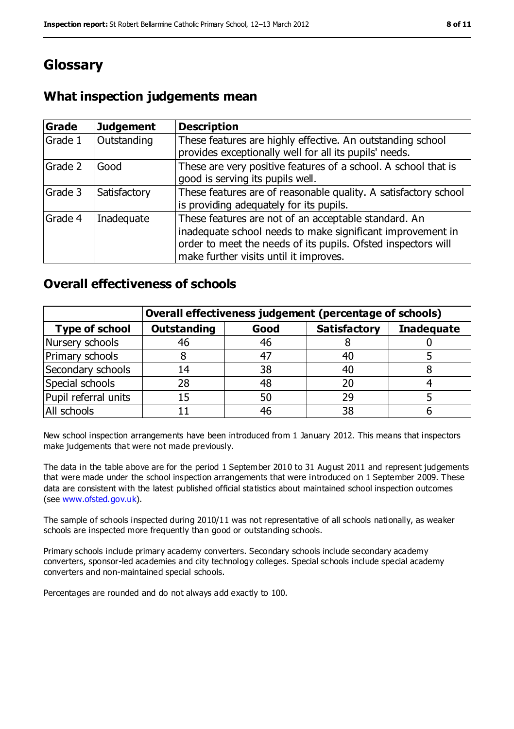# **Glossary**

### **What inspection judgements mean**

| <b>Grade</b> | <b>Judgement</b> | <b>Description</b>                                                                                                                                                                                                            |
|--------------|------------------|-------------------------------------------------------------------------------------------------------------------------------------------------------------------------------------------------------------------------------|
| Grade 1      | Outstanding      | These features are highly effective. An outstanding school<br>provides exceptionally well for all its pupils' needs.                                                                                                          |
| Grade 2      | Good             | These are very positive features of a school. A school that is<br>good is serving its pupils well.                                                                                                                            |
| Grade 3      | Satisfactory     | These features are of reasonable quality. A satisfactory school<br>is providing adequately for its pupils.                                                                                                                    |
| Grade 4      | Inadequate       | These features are not of an acceptable standard. An<br>inadequate school needs to make significant improvement in<br>order to meet the needs of its pupils. Ofsted inspectors will<br>make further visits until it improves. |

#### **Overall effectiveness of schools**

|                       | Overall effectiveness judgement (percentage of schools) |      |                     |                   |
|-----------------------|---------------------------------------------------------|------|---------------------|-------------------|
| <b>Type of school</b> | <b>Outstanding</b>                                      | Good | <b>Satisfactory</b> | <b>Inadequate</b> |
| Nursery schools       | 46                                                      | 46   |                     |                   |
| Primary schools       |                                                         | 47   | 40                  |                   |
| Secondary schools     | 14                                                      | 38   | 40                  |                   |
| Special schools       | 28                                                      | 48   | 20                  |                   |
| Pupil referral units  | 15                                                      | 50   | 29                  |                   |
| All schools           |                                                         | 46   | 38                  |                   |

New school inspection arrangements have been introduced from 1 January 2012. This means that inspectors make judgements that were not made previously.

The data in the table above are for the period 1 September 2010 to 31 August 2011 and represent judgements that were made under the school inspection arrangements that were introduced on 1 September 2009. These data are consistent with the latest published official statistics about maintained school inspection outcomes (see [www.ofsted.gov.uk\)](../../../AppData/Local/Microsoft/Windows/Temporary%20Internet%20Files/AppData/AppData/Local/Microsoft/Windows/Temporary%20Internet%20Files/Low/Content.IE5/EMWAXGIF/www.ofsted.gov.uk).

The sample of schools inspected during 2010/11 was not representative of all schools nationally, as weaker schools are inspected more frequently than good or outstanding schools.

Primary schools include primary academy converters. Secondary schools include secondary academy converters, sponsor-led academies and city technology colleges. Special schools include special academy converters and non-maintained special schools.

Percentages are rounded and do not always add exactly to 100.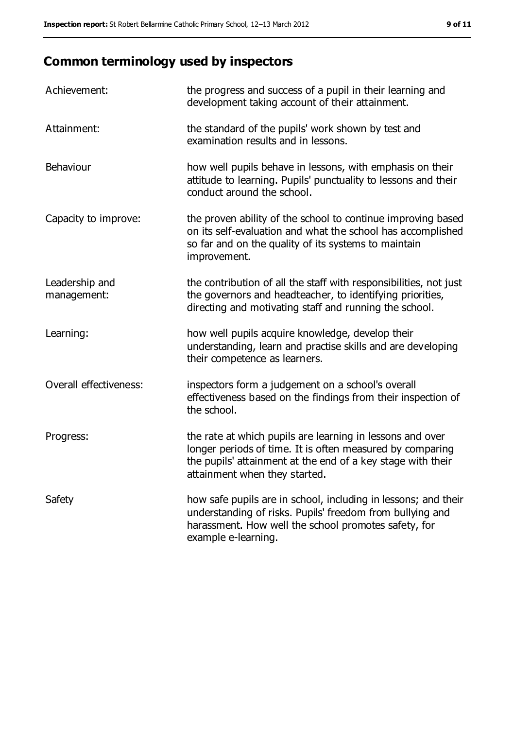# **Common terminology used by inspectors**

| Achievement:                  | the progress and success of a pupil in their learning and<br>development taking account of their attainment.                                                                                                           |
|-------------------------------|------------------------------------------------------------------------------------------------------------------------------------------------------------------------------------------------------------------------|
| Attainment:                   | the standard of the pupils' work shown by test and<br>examination results and in lessons.                                                                                                                              |
| Behaviour                     | how well pupils behave in lessons, with emphasis on their<br>attitude to learning. Pupils' punctuality to lessons and their<br>conduct around the school.                                                              |
| Capacity to improve:          | the proven ability of the school to continue improving based<br>on its self-evaluation and what the school has accomplished<br>so far and on the quality of its systems to maintain<br>improvement.                    |
| Leadership and<br>management: | the contribution of all the staff with responsibilities, not just<br>the governors and headteacher, to identifying priorities,<br>directing and motivating staff and running the school.                               |
| Learning:                     | how well pupils acquire knowledge, develop their<br>understanding, learn and practise skills and are developing<br>their competence as learners.                                                                       |
| Overall effectiveness:        | inspectors form a judgement on a school's overall<br>effectiveness based on the findings from their inspection of<br>the school.                                                                                       |
| Progress:                     | the rate at which pupils are learning in lessons and over<br>longer periods of time. It is often measured by comparing<br>the pupils' attainment at the end of a key stage with their<br>attainment when they started. |
| Safety                        | how safe pupils are in school, including in lessons; and their<br>understanding of risks. Pupils' freedom from bullying and<br>harassment. How well the school promotes safety, for<br>example e-learning.             |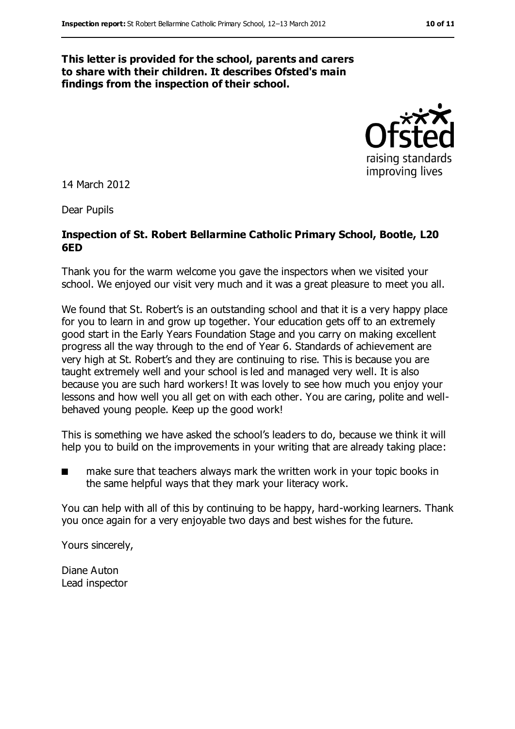#### **This letter is provided for the school, parents and carers to share with their children. It describes Ofsted's main findings from the inspection of their school.**



14 March 2012

Dear Pupils

#### **Inspection of St. Robert Bellarmine Catholic Primary School, Bootle, L20 6ED**

Thank you for the warm welcome you gave the inspectors when we visited your school. We enjoyed our visit very much and it was a great pleasure to meet you all.

We found that St. Robert's is an outstanding school and that it is a very happy place for you to learn in and grow up together. Your education gets off to an extremely good start in the Early Years Foundation Stage and you carry on making excellent progress all the way through to the end of Year 6. Standards of achievement are very high at St. Robert's and they are continuing to rise. This is because you are taught extremely well and your school is led and managed very well. It is also because you are such hard workers! It was lovely to see how much you enjoy your lessons and how well you all get on with each other. You are caring, polite and wellbehaved young people. Keep up the good work!

This is something we have asked the school's leaders to do, because we think it will help you to build on the improvements in your writing that are already taking place:

■ make sure that teachers always mark the written work in your topic books in the same helpful ways that they mark your literacy work.

You can help with all of this by continuing to be happy, hard-working learners. Thank you once again for a very enjoyable two days and best wishes for the future.

Yours sincerely,

Diane Auton Lead inspector